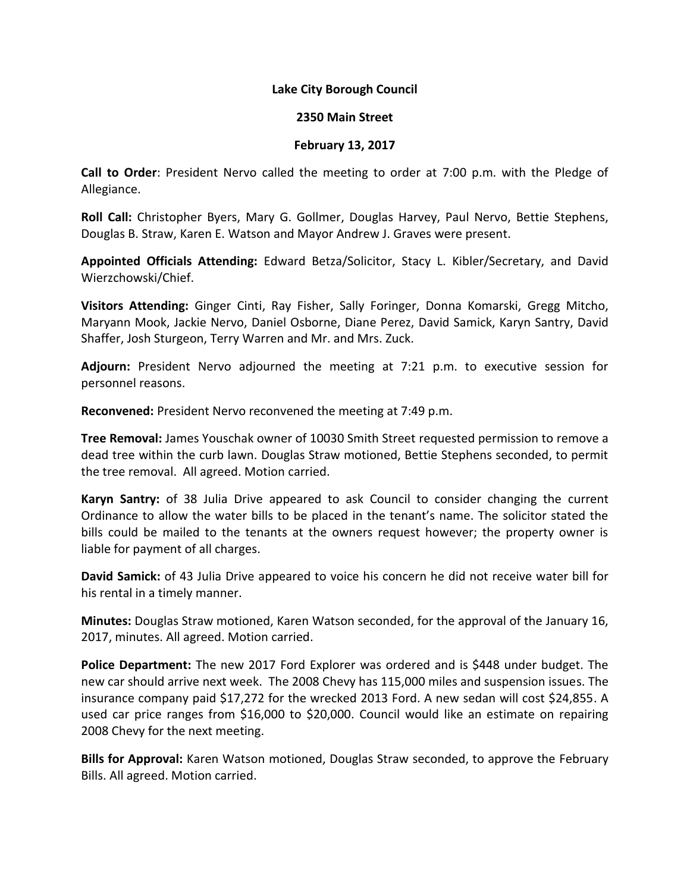## **Lake City Borough Council**

## **2350 Main Street**

## **February 13, 2017**

**Call to Order**: President Nervo called the meeting to order at 7:00 p.m. with the Pledge of Allegiance.

**Roll Call:** Christopher Byers, Mary G. Gollmer, Douglas Harvey, Paul Nervo, Bettie Stephens, Douglas B. Straw, Karen E. Watson and Mayor Andrew J. Graves were present.

**Appointed Officials Attending:** Edward Betza/Solicitor, Stacy L. Kibler/Secretary, and David Wierzchowski/Chief.

**Visitors Attending:** Ginger Cinti, Ray Fisher, Sally Foringer, Donna Komarski, Gregg Mitcho, Maryann Mook, Jackie Nervo, Daniel Osborne, Diane Perez, David Samick, Karyn Santry, David Shaffer, Josh Sturgeon, Terry Warren and Mr. and Mrs. Zuck.

**Adjourn:** President Nervo adjourned the meeting at 7:21 p.m. to executive session for personnel reasons.

**Reconvened:** President Nervo reconvened the meeting at 7:49 p.m.

**Tree Removal:** James Youschak owner of 10030 Smith Street requested permission to remove a dead tree within the curb lawn. Douglas Straw motioned, Bettie Stephens seconded, to permit the tree removal. All agreed. Motion carried.

**Karyn Santry:** of 38 Julia Drive appeared to ask Council to consider changing the current Ordinance to allow the water bills to be placed in the tenant's name. The solicitor stated the bills could be mailed to the tenants at the owners request however; the property owner is liable for payment of all charges.

**David Samick:** of 43 Julia Drive appeared to voice his concern he did not receive water bill for his rental in a timely manner.

**Minutes:** Douglas Straw motioned, Karen Watson seconded, for the approval of the January 16, 2017, minutes. All agreed. Motion carried.

**Police Department:** The new 2017 Ford Explorer was ordered and is \$448 under budget. The new car should arrive next week. The 2008 Chevy has 115,000 miles and suspension issues. The insurance company paid \$17,272 for the wrecked 2013 Ford. A new sedan will cost \$24,855. A used car price ranges from \$16,000 to \$20,000. Council would like an estimate on repairing 2008 Chevy for the next meeting.

**Bills for Approval:** Karen Watson motioned, Douglas Straw seconded, to approve the February Bills. All agreed. Motion carried.